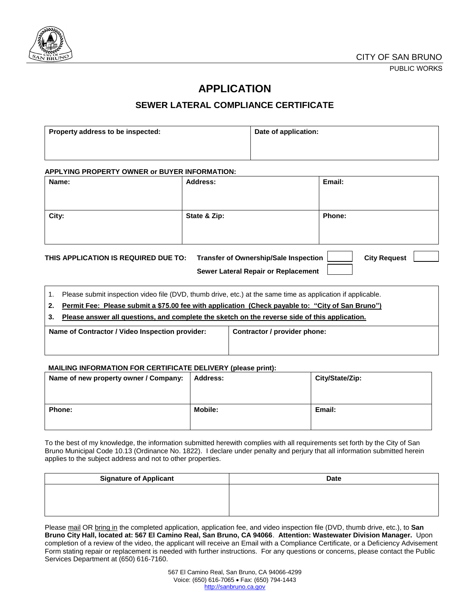

## **APPLICATION**

### **SEWER LATERAL COMPLIANCE CERTIFICATE**

| Property address to be inspected: | Date of application: |
|-----------------------------------|----------------------|
|                                   |                      |

#### **APPLYING PROPERTY OWNER or BUYER INFORMATION:**

| Name:                                | <b>Address:</b>                                                                     | Email:              |
|--------------------------------------|-------------------------------------------------------------------------------------|---------------------|
|                                      |                                                                                     |                     |
| City:                                | State & Zip:                                                                        | Phone:              |
| THIS APPLICATION IS REQUIRED DUE TO: | <b>Transfer of Ownership/Sale Inspection</b><br>Sewer Lateral Repair or Replacement | <b>City Request</b> |

1. Please submit inspection video file (DVD, thumb drive, etc.) at the same time as application if applicable.

**2. Permit Fee: Please submit a \$75.00 fee with application (Check payable to: "City of San Bruno")**

**3. Please answer all questions, and complete the sketch on the reverse side of this application.**

| Name of Contractor / Video Inspection provider: | Contractor / provider phone: |
|-------------------------------------------------|------------------------------|
|                                                 |                              |

#### **MAILING INFORMATION FOR CERTIFICATE DELIVERY (please print):**

| Name of new property owner / Company: | <b>Address:</b> | City/State/Zip: |
|---------------------------------------|-----------------|-----------------|
| <b>Phone:</b>                         | <b>Mobile:</b>  | Email:          |

To the best of my knowledge, the information submitted herewith complies with all requirements set forth by the City of San Bruno Municipal Code 10.13 (Ordinance No. 1822). I declare under penalty and perjury that all information submitted herein applies to the subject address and not to other properties.

| <b>Signature of Applicant</b> | <b>Date</b> |
|-------------------------------|-------------|
|                               |             |
|                               |             |
|                               |             |

Please mail OR bring in the completed application, application fee, and video inspection file (DVD, thumb drive, etc.), to San **Bruno City Hall, located at: 567 El Camino Real, San Bruno, CA 94066**. **Attention: Wastewater Division Manager.** Upon completion of a review of the video, the applicant will receive an Email with a Compliance Certificate, or a Deficiency Advisement Form stating repair or replacement is needed with further instructions. For any questions or concerns, please contact the Public Services Department at (650) 616-7160.

> 567 El Camino Real, San Bruno, CA 94066-4299 Voice: (650) 616-7065 Fax: (650) 794-1443 [http://sanbruno.ca.gov](http://sanbruno.ca.gov/)